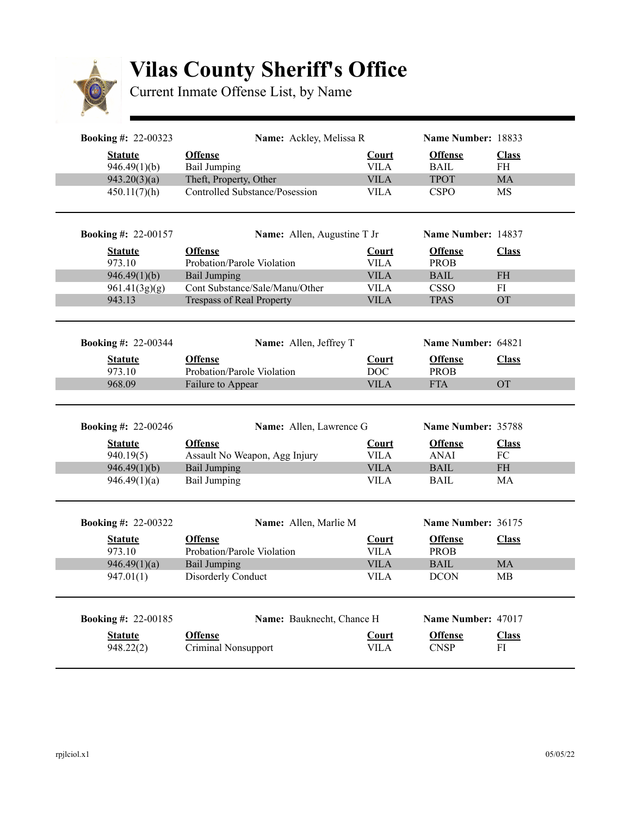

## **Vilas County Sheriff's Office**

Current Inmate Offense List, by Name

| <b>Booking #: 22-00323</b>                                                 | Name: Ackley, Melissa R                                                                                           |                                                    | Name Number: 18833                                                                |                                       |
|----------------------------------------------------------------------------|-------------------------------------------------------------------------------------------------------------------|----------------------------------------------------|-----------------------------------------------------------------------------------|---------------------------------------|
| <b>Statute</b>                                                             | <b>Offense</b>                                                                                                    | <b>Court</b>                                       | <b>Offense</b>                                                                    | <b>Class</b>                          |
| 946.49(1)(b)                                                               | <b>Bail Jumping</b>                                                                                               | <b>VILA</b>                                        | <b>BAIL</b>                                                                       | <b>FH</b>                             |
| 943.20(3)(a)                                                               | Theft, Property, Other                                                                                            | <b>VILA</b>                                        | <b>TPOT</b>                                                                       | MA                                    |
| 450.11(7)(h)                                                               | Controlled Substance/Posession                                                                                    | <b>VILA</b>                                        | <b>CSPO</b>                                                                       | MS                                    |
| <b>Booking #: 22-00157</b>                                                 | Name: Allen, Augustine T Jr                                                                                       |                                                    | Name Number: 14837                                                                |                                       |
| <b>Statute</b>                                                             | <b>Offense</b>                                                                                                    | <b>Court</b>                                       | <b>Offense</b>                                                                    | <b>Class</b>                          |
| 973.10                                                                     | Probation/Parole Violation                                                                                        | <b>VILA</b>                                        | <b>PROB</b>                                                                       |                                       |
| 946.49(1)(b)                                                               | <b>Bail Jumping</b>                                                                                               | <b>VILA</b>                                        | <b>BAIL</b>                                                                       | $\rm FH$                              |
| 961.41(3g)(g)                                                              | Cont Substance/Sale/Manu/Other                                                                                    | <b>VILA</b>                                        | <b>CSSO</b>                                                                       | FI                                    |
| 943.13                                                                     | <b>Trespass of Real Property</b>                                                                                  | <b>VILA</b>                                        | <b>TPAS</b>                                                                       | <b>OT</b>                             |
| <b>Booking #: 22-00344</b>                                                 | Name: Allen, Jeffrey T                                                                                            |                                                    | Name Number: 64821                                                                |                                       |
| <b>Statute</b><br>973.10                                                   | <b>Offense</b><br>Probation/Parole Violation                                                                      | <b>Court</b><br>DOC                                | <b>Offense</b><br><b>PROB</b>                                                     | <b>Class</b>                          |
| 968.09                                                                     | Failure to Appear                                                                                                 | <b>VILA</b>                                        | <b>FTA</b>                                                                        | <b>OT</b>                             |
|                                                                            |                                                                                                                   |                                                    |                                                                                   |                                       |
| <b>Statute</b><br>940.19(5)<br>946.49(1)(b)<br>946.49(1)(a)                | Name: Allen, Lawrence G<br><b>Offense</b><br>Assault No Weapon, Agg Injury<br><b>Bail Jumping</b><br>Bail Jumping | Court<br><b>VILA</b><br><b>VILA</b><br><b>VILA</b> | Name Number: 35788<br><b>Offense</b><br><b>ANAI</b><br><b>BAIL</b><br><b>BAIL</b> | <b>Class</b><br>FC<br><b>FH</b><br>MA |
| <b>Booking #: 22-00246</b><br><b>Booking #: 22-00322</b><br><b>Statute</b> | Name: Allen, Marlie M<br><b>Offense</b>                                                                           | <b>Court</b>                                       | Name Number: 36175<br><b>Offense</b>                                              | <b>Class</b>                          |
| 973.10                                                                     | Probation/Parole Violation                                                                                        | <b>VILA</b>                                        | <b>PROB</b>                                                                       |                                       |
| 946.49(1)(a)                                                               | <b>Bail Jumping</b>                                                                                               | <b>VILA</b>                                        | <b>BAIL</b>                                                                       | MA                                    |
| 947.01(1)                                                                  | Disorderly Conduct                                                                                                | <b>VILA</b>                                        | <b>DCON</b>                                                                       | <b>MB</b>                             |
|                                                                            | Name: Bauknecht, Chance H                                                                                         |                                                    | Name Number: 47017                                                                |                                       |
| <b>Booking #: 22-00185</b><br><b>Statute</b>                               | <b>Offense</b>                                                                                                    | Court                                              | <b>Offense</b>                                                                    | <b>Class</b>                          |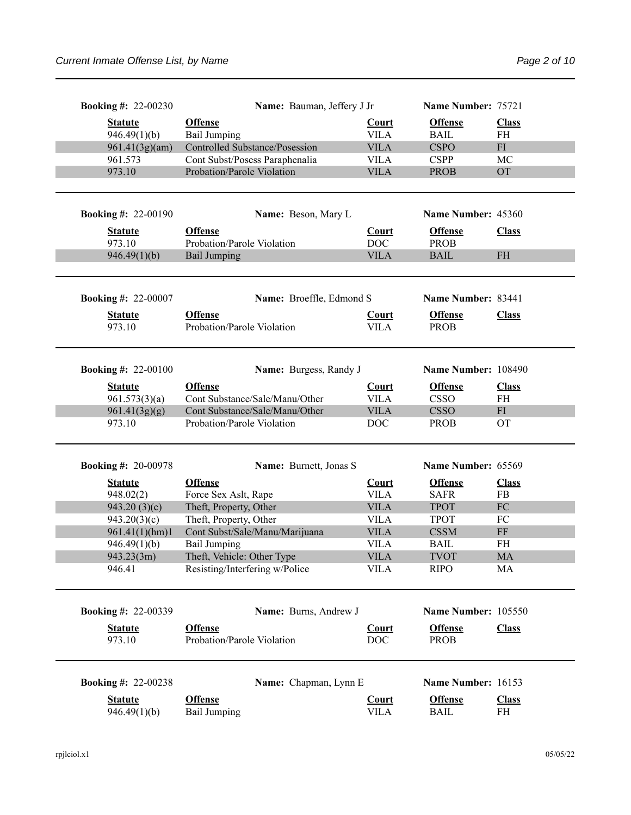| <b>Booking #: 22-00230</b>  | Name: Bauman, Jeffery J Jr                   |                             | Name Number: 75721            |                    |
|-----------------------------|----------------------------------------------|-----------------------------|-------------------------------|--------------------|
| <b>Statute</b>              | <b>Offense</b>                               | <b>Court</b>                | <b>Offense</b>                | <b>Class</b>       |
| 946.49(1)(b)                | <b>Bail Jumping</b>                          | <b>VILA</b>                 | <b>BAIL</b>                   | FH                 |
| 961.41(3g)(am)              | <b>Controlled Substance/Posession</b>        | <b>VILA</b>                 | <b>CSPO</b>                   | ${\rm FI}$         |
| 961.573                     | Cont Subst/Posess Paraphenalia               | <b>VILA</b>                 | <b>CSPP</b>                   | MC                 |
| 973.10                      | Probation/Parole Violation                   | <b>VILA</b>                 | <b>PROB</b>                   | <b>OT</b>          |
|                             |                                              |                             |                               |                    |
| <b>Booking #: 22-00190</b>  | Name: Beson, Mary L                          |                             | Name Number: 45360            |                    |
| <b>Statute</b>              | <b>Offense</b>                               | <b>Court</b>                | <b>Offense</b>                | <b>Class</b>       |
| 973.10                      | Probation/Parole Violation                   | <b>DOC</b>                  | <b>PROB</b>                   |                    |
| 946.49(1)(b)                | <b>Bail Jumping</b>                          | <b>VILA</b>                 | <b>BAIL</b>                   | <b>FH</b>          |
| <b>Booking #: 22-00007</b>  | Name: Broeffle, Edmond S                     |                             | Name Number: 83441            |                    |
| <b>Statute</b>              | <b>Offense</b>                               | <b>Court</b>                | <b>Offense</b>                | <b>Class</b>       |
| 973.10                      | Probation/Parole Violation                   | <b>VILA</b>                 | <b>PROB</b>                   |                    |
|                             |                                              |                             |                               |                    |
| <b>Booking #: 22-00100</b>  | Name: Burgess, Randy J                       |                             | Name Number: 108490           |                    |
| <b>Statute</b>              | <b>Offense</b>                               | <b>Court</b>                | <b>Offense</b>                | <b>Class</b>       |
| 961.573(3)(a)               | Cont Substance/Sale/Manu/Other               | <b>VILA</b>                 | <b>CSSO</b>                   | FH                 |
| 961.41(3g)(g)               | Cont Substance/Sale/Manu/Other               | <b>VILA</b>                 | <b>CSSO</b>                   | FI                 |
| 973.10                      | Probation/Parole Violation                   | <b>DOC</b>                  | <b>PROB</b>                   | <b>OT</b>          |
| <b>Booking #: 20-00978</b>  | Name: Burnett, Jonas S                       |                             | Name Number: 65569            |                    |
|                             |                                              |                             |                               |                    |
| <b>Statute</b><br>948.02(2) | <b>Offense</b><br>Force Sex Aslt, Rape       | <b>Court</b><br><b>VILA</b> | <b>Offense</b><br><b>SAFR</b> | <b>Class</b><br>FB |
| 943.20(3)(c)                | Theft, Property, Other                       | <b>VILA</b>                 | <b>TPOT</b>                   | ${\rm FC}$         |
| 943.20(3)(c)                | Theft, Property, Other                       | <b>VILA</b>                 | <b>TPOT</b>                   | FC                 |
| 961.41(1)(hm)1              | Cont Subst/Sale/Manu/Marijuana               | <b>VILA</b>                 | <b>CSSM</b>                   | $\rm FF$           |
| 946.49(1)(b)                | <b>Bail Jumping</b>                          | <b>VILA</b>                 | <b>BAIL</b>                   | <b>FH</b>          |
| 943.23(3m)                  | Theft, Vehicle: Other Type                   | <b>VILA</b>                 | <b>TVOT</b>                   | MA                 |
| 946.41                      | Resisting/Interfering w/Police               | <b>VILA</b>                 | <b>RIPO</b>                   | MA                 |
| <b>Booking #: 22-00339</b>  | Name: Burns, Andrew J                        |                             | Name Number: 105550           |                    |
|                             |                                              |                             |                               |                    |
| <b>Statute</b><br>973.10    | <b>Offense</b><br>Probation/Parole Violation | <b>Court</b><br><b>DOC</b>  | <b>Offense</b><br><b>PROB</b> | <b>Class</b>       |
| <b>Booking #: 22-00238</b>  | Name: Chapman, Lynn E                        |                             | Name Number: 16153            |                    |
|                             |                                              |                             |                               |                    |
| <b>Statute</b>              | <b>Offense</b>                               | <b>Court</b>                | <b>Offense</b>                | <b>Class</b>       |
| 946.49(1)(b)                | <b>Bail Jumping</b>                          | <b>VILA</b>                 | <b>BAIL</b>                   | FH                 |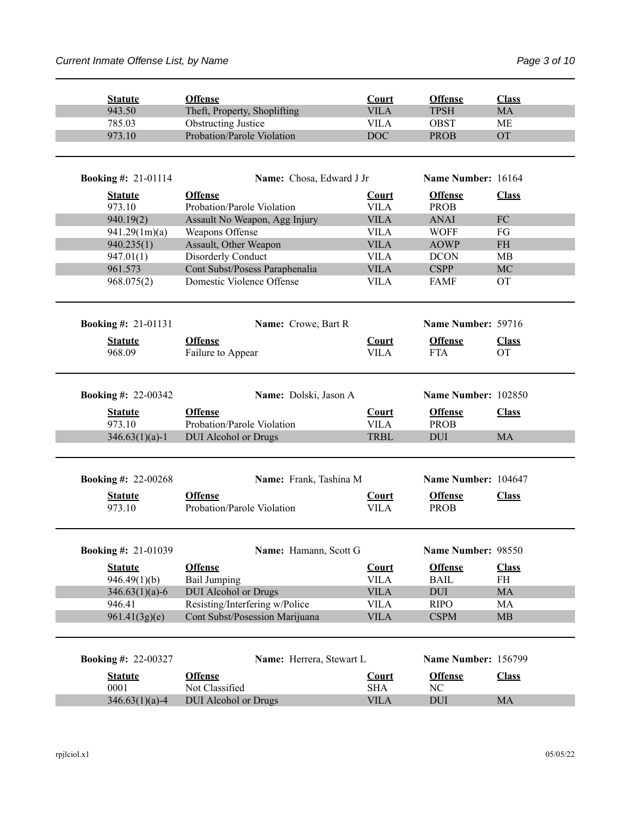| <b>Statute</b>             | <b>Offense</b>                               | Court                       | <b>Offense</b>                | <b>Class</b>              |
|----------------------------|----------------------------------------------|-----------------------------|-------------------------------|---------------------------|
| 943.50                     | Theft, Property, Shoplifting                 | <b>VILA</b>                 | <b>TPSH</b>                   | <b>MA</b>                 |
| 785.03                     | <b>Obstructing Justice</b>                   | <b>VILA</b>                 | <b>OBST</b>                   | <b>ME</b>                 |
| 973.10                     | Probation/Parole Violation                   | <b>DOC</b>                  | <b>PROB</b>                   | <b>OT</b>                 |
| <b>Booking #: 21-01114</b> | Name: Chosa, Edward J Jr                     |                             | Name Number: 16164            |                           |
| <b>Statute</b>             | <b>Offense</b>                               | <b>Court</b>                | <b>Offense</b>                | <b>Class</b>              |
| 973.10                     | Probation/Parole Violation                   | <b>VILA</b>                 | <b>PROB</b>                   |                           |
| 940.19(2)                  | Assault No Weapon, Agg Injury                | <b>VILA</b>                 | <b>ANAI</b>                   | ${\rm FC}$                |
| 941.29(1m)(a)              | Weapons Offense                              | <b>VILA</b>                 | <b>WOFF</b>                   | FG                        |
| 940.235(1)                 | Assault, Other Weapon                        | <b>VILA</b>                 | <b>AOWP</b>                   | <b>FH</b>                 |
| 947.01(1)                  | Disorderly Conduct                           | <b>VILA</b>                 | <b>DCON</b>                   | MB                        |
| 961.573                    | Cont Subst/Posess Paraphenalia               | <b>VILA</b>                 | <b>CSPP</b>                   | MC                        |
| 968.075(2)                 | Domestic Violence Offense                    | <b>VILA</b>                 | <b>FAMF</b>                   | <b>OT</b>                 |
| <b>Booking #: 21-01131</b> | Name: Crowe, Bart R                          |                             | Name Number: 59716            |                           |
|                            |                                              |                             |                               |                           |
| <b>Statute</b><br>968.09   | <b>Offense</b>                               | Court<br><b>VILA</b>        | <b>Offense</b>                | <b>Class</b><br><b>OT</b> |
|                            | Failure to Appear                            |                             | <b>FTA</b>                    |                           |
| <b>Booking #: 22-00342</b> | Name: Dolski, Jason A                        |                             | Name Number: 102850           |                           |
|                            |                                              |                             |                               |                           |
| <b>Statute</b><br>973.10   | <b>Offense</b><br>Probation/Parole Violation | Court<br><b>VILA</b>        | <b>Offense</b><br><b>PROB</b> | <b>Class</b>              |
| $346.63(1)(a)-1$           | <b>DUI</b> Alcohol or Drugs                  | <b>TRBL</b>                 | <b>DUI</b>                    | <b>MA</b>                 |
| <b>Booking #: 22-00268</b> | Name: Frank, Tashina M                       |                             | Name Number: 104647           |                           |
|                            |                                              |                             |                               |                           |
| <b>Statute</b><br>973.10   | <b>Offense</b><br>Probation/Parole Violation | <b>Court</b><br><b>VILA</b> | <b>Offense</b><br><b>PROB</b> | <b>Class</b>              |
|                            |                                              |                             |                               |                           |
| <b>Booking #: 21-01039</b> | Name: Hamann, Scott G                        |                             | Name Number: 98550            |                           |
| <b>Statute</b>             | <b>Offense</b>                               | <b>Court</b>                | <b>Offense</b>                | <b>Class</b>              |
| 946.49(1)(b)               | <b>Bail Jumping</b>                          | <b>VILA</b>                 | <b>BAIL</b>                   | FH                        |
| $346.63(1)(a)-6$           | <b>DUI</b> Alcohol or Drugs                  | <b>VILA</b>                 | <b>DUI</b>                    | MA                        |
| 946.41                     | Resisting/Interfering w/Police               | <b>VILA</b>                 | <b>RIPO</b>                   | MA                        |
| 961.41(3g)(e)              | Cont Subst/Posession Marijuana               | <b>VILA</b>                 | <b>CSPM</b>                   | MB                        |
| <b>Booking #: 22-00327</b> | Name: Herrera, Stewart L                     |                             | Name Number: 156799           |                           |
|                            |                                              |                             |                               |                           |
| <b>Statute</b>             | <b>Offense</b>                               | Court                       | <b>Offense</b>                | <b>Class</b>              |
| 0001                       | Not Classified                               | <b>SHA</b>                  | NC                            |                           |
| $346.63(1)(a)-4$           | <b>DUI</b> Alcohol or Drugs                  | <b>VILA</b>                 | DUI                           | MA                        |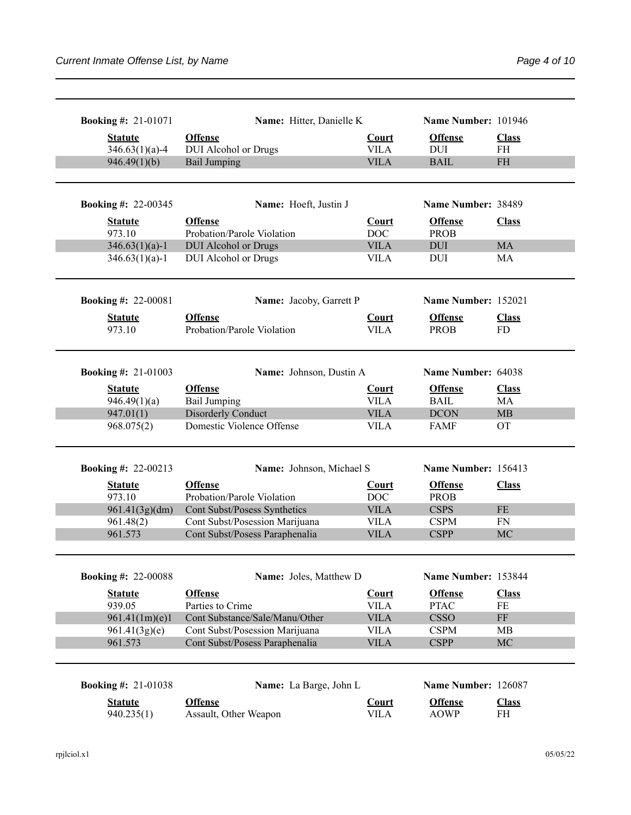| <b>Booking #: 21-01071</b>                   | Name: Hitter, Danielle K                      |                             | Name Number: 101946           |                           |
|----------------------------------------------|-----------------------------------------------|-----------------------------|-------------------------------|---------------------------|
| <b>Statute</b><br>$346.63(1)(a)-4$           | <b>Offense</b><br><b>DUI</b> Alcohol or Drugs | <b>Court</b><br><b>VILA</b> | <b>Offense</b><br><b>DUI</b>  | <b>Class</b><br><b>FH</b> |
| 946.49(1)(b)                                 | <b>Bail Jumping</b>                           | <b>VILA</b>                 | <b>BAIL</b>                   | <b>FH</b>                 |
|                                              |                                               |                             |                               |                           |
| <b>Booking #: 22-00345</b>                   | Name: Hoeft, Justin J                         |                             | Name Number: 38489            |                           |
| <b>Statute</b><br>973.10                     | <b>Offense</b><br>Probation/Parole Violation  | Court<br>DOC                | <b>Offense</b><br><b>PROB</b> | <b>Class</b>              |
| $346.63(1)(a)-1$                             | <b>DUI</b> Alcohol or Drugs                   | <b>VILA</b>                 | <b>DUI</b>                    | <b>MA</b>                 |
| $346.63(1)(a)-1$                             | DUI Alcohol or Drugs                          | <b>VILA</b>                 | <b>DUI</b>                    | MA                        |
| <b>Booking #: 22-00081</b>                   | Name: Jacoby, Garrett P                       |                             | Name Number: 152021           |                           |
| <b>Statute</b><br>973.10                     | <b>Offense</b><br>Probation/Parole Violation  | Court<br><b>VILA</b>        | <b>Offense</b><br><b>PROB</b> | <b>Class</b><br><b>FD</b> |
| <b>Booking #: 21-01003</b>                   | Name: Johnson, Dustin A                       |                             | Name Number: 64038            |                           |
| <b>Statute</b><br>946.49(1)(a)               | <b>Offense</b><br><b>Bail Jumping</b>         | <b>Court</b><br><b>VILA</b> | <b>Offense</b><br><b>BAIL</b> | <b>Class</b><br>MA        |
| 947.01(1)                                    | Disorderly Conduct                            | <b>VILA</b>                 | <b>DCON</b>                   | MB                        |
| 968.075(2)                                   | Domestic Violence Offense                     | <b>VILA</b>                 | <b>FAMF</b>                   | <b>OT</b>                 |
| <b>Booking #: 22-00213</b>                   | Name: Johnson, Michael S                      |                             | Name Number: 156413           |                           |
| <b>Statute</b>                               | <b>Offense</b>                                | <b>Court</b>                | <b>Offense</b>                | <b>Class</b>              |
| 973.10                                       | Probation/Parole Violation                    | <b>DOC</b>                  | <b>PROB</b>                   |                           |
| 961.41(3g)(dm)                               | Cont Subst/Posess Synthetics                  | <b>VILA</b>                 | <b>CSPS</b>                   | <b>FE</b>                 |
| 961.48(2)                                    | Cont Subst/Posession Marijuana                | <b>VILA</b>                 | <b>CSPM</b>                   | <b>FN</b>                 |
| 961.573                                      | Cont Subst/Posess Paraphenalia                | <b>VILA</b>                 | <b>CSPP</b>                   | MC                        |
| <b>Booking #: 22-00088</b>                   | Name: Joles, Matthew D                        |                             | Name Number: 153844           |                           |
| <b>Statute</b><br>939.05                     | <b>Offense</b><br>Parties to Crime            | <b>Court</b><br><b>VILA</b> | <b>Offense</b><br><b>PTAC</b> | <b>Class</b><br>FE        |
| 961.41(1m)(e)1                               | Cont Substance/Sale/Manu/Other                | <b>VILA</b>                 | <b>CSSO</b>                   | $\rm FF$                  |
| 961.41(3g)(e)                                | Cont Subst/Posession Marijuana                | <b>VILA</b>                 | <b>CSPM</b>                   | MB                        |
|                                              | Cont Subst/Posess Paraphenalia                | <b>VILA</b>                 | <b>CSPP</b>                   | MC                        |
| 961.573                                      |                                               |                             |                               |                           |
|                                              |                                               |                             |                               |                           |
|                                              | Name: La Barge, John L                        |                             | Name Number: 126087           |                           |
| <b>Booking #: 21-01038</b><br><b>Statute</b> | <b>Offense</b>                                | <b>Court</b>                | <b>Offense</b>                | <b>Class</b>              |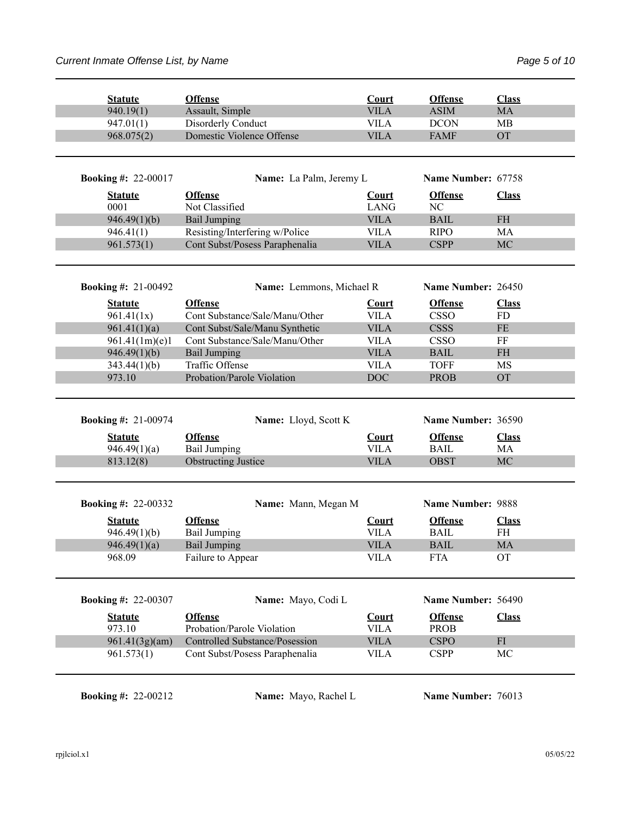| <b>Statute</b>               | <b>Offense</b>                                                          | Court                      | <b>Offense</b>             | <b>Class</b>                      |
|------------------------------|-------------------------------------------------------------------------|----------------------------|----------------------------|-----------------------------------|
| 940.19(1)                    | Assault, Simple                                                         | <b>VILA</b>                | <b>ASIM</b>                | MA                                |
| 947.01(1)                    | Disorderly Conduct                                                      | <b>VILA</b>                | <b>DCON</b>                | <b>MB</b>                         |
| 968.075(2)                   | Domestic Violence Offense                                               | <b>VILA</b>                | <b>FAMF</b>                | <b>OT</b>                         |
| <b>Booking #: 22-00017</b>   | Name: La Palm, Jeremy L                                                 |                            | Name Number: 67758         |                                   |
|                              |                                                                         |                            |                            |                                   |
| <b>Statute</b><br>0001       | <b>Offense</b>                                                          | <b>Court</b>               | <b>Offense</b><br>NC       | <b>Class</b>                      |
|                              | Not Classified                                                          | <b>LANG</b>                |                            |                                   |
| 946.49(1)(b)                 | <b>Bail Jumping</b>                                                     | <b>VILA</b>                | <b>BAIL</b>                | $\ensuremath{\mathsf{FH}}\xspace$ |
| 946.41(1)                    | Resisting/Interfering w/Police                                          | <b>VILA</b>                | <b>RIPO</b>                | MA                                |
| 961.573(1)                   | Cont Subst/Posess Paraphenalia                                          | <b>VILA</b>                | <b>CSPP</b>                | MC                                |
| <b>Booking #: 21-00492</b>   | Name: Lemmons, Michael R                                                |                            | Name Number: 26450         |                                   |
| <b>Statute</b>               | <b>Offense</b>                                                          | Court                      | <b>Offense</b>             | <b>Class</b>                      |
| 961.41(1x)                   | Cont Substance/Sale/Manu/Other                                          | <b>VILA</b>                | <b>CSSO</b>                | <b>FD</b>                         |
| 961.41(1)(a)                 | Cont Subst/Sale/Manu Synthetic                                          | <b>VILA</b>                | <b>CSSS</b>                | <b>FE</b>                         |
| 961.41(1m)(e)1               | Cont Substance/Sale/Manu/Other                                          | <b>VILA</b>                | <b>CSSO</b>                | FF                                |
| 946.49(1)(b)                 | <b>Bail Jumping</b>                                                     | <b>VILA</b>                | <b>BAIL</b>                | <b>FH</b>                         |
| 343.44(1)(b)                 | Traffic Offense                                                         | <b>VILA</b>                | <b>TOFF</b>                | MS                                |
| 973.10                       | Probation/Parole Violation                                              | <b>DOC</b>                 | <b>PROB</b>                | <b>OT</b>                         |
| <b>Booking #: 21-00974</b>   | Name: Lloyd, Scott K                                                    |                            | Name Number: 36590         |                                   |
| <b>Statute</b>               | <b>Offense</b>                                                          | <b>Court</b>               | <b>Offense</b>             | <b>Class</b>                      |
| 946.49(1)(a)                 | <b>Bail Jumping</b>                                                     | <b>VILA</b>                | <b>BAIL</b>                | MA                                |
| 813.12(8)                    | <b>Obstructing Justice</b>                                              | <b>VILA</b>                | <b>OBST</b>                | MC                                |
| <b>Booking #: 22-00332</b>   | Name: Mann, Megan M                                                     |                            | Name Number: 9888          |                                   |
| <b>Statute</b>               | <b>Offense</b>                                                          | <b>Court</b>               | <b>Offense</b>             | <b>Class</b>                      |
| 946.49(1)(b)                 | <b>Bail Jumping</b>                                                     | <b>VILA</b>                | <b>BAIL</b>                | <b>FH</b>                         |
| 946.49(1)(a)                 | <b>Bail Jumping</b>                                                     | <b>VILA</b>                | <b>BAIL</b>                | <b>MA</b>                         |
| 968.09                       | Failure to Appear                                                       | <b>VILA</b>                | <b>FTA</b>                 | OT                                |
| <b>Booking #: 22-00307</b>   | Name: Mayo, Codi L                                                      |                            | Name Number: 56490         |                                   |
| <b>Statute</b>               | <b>Offense</b>                                                          | Court                      | <b>Offense</b>             | <b>Class</b>                      |
|                              | Probation/Parole Violation                                              | <b>VILA</b>                | <b>PROB</b>                |                                   |
|                              |                                                                         |                            |                            |                                   |
| 973.10                       |                                                                         |                            |                            |                                   |
| 961.41(3g)(am)<br>961.573(1) | <b>Controlled Substance/Posession</b><br>Cont Subst/Posess Paraphenalia | <b>VILA</b><br><b>VILA</b> | <b>CSPO</b><br><b>CSPP</b> | FI<br>MC                          |

**Booking #:** 22-00212 **Name:** Mayo, Rachel L **Name Number:** 76013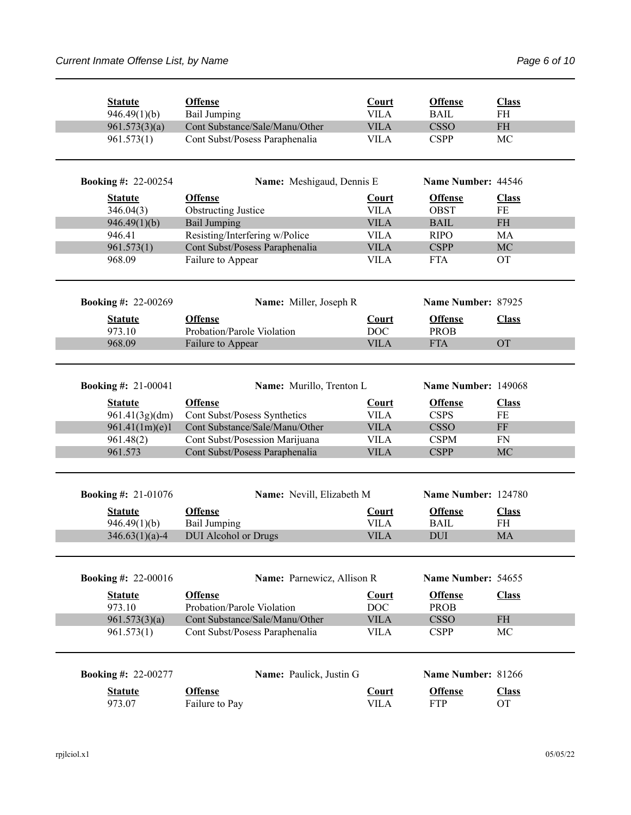| <b>Statute</b>                   | <b>Offense</b><br><b>Bail Jumping</b>          | Court<br><b>VILA</b>        | <b>Offense</b><br><b>BAIL</b> | <b>Class</b><br><b>FH</b>         |
|----------------------------------|------------------------------------------------|-----------------------------|-------------------------------|-----------------------------------|
| 946.49(1)(b)<br>961.573(3)(a)    | Cont Substance/Sale/Manu/Other                 | <b>VILA</b>                 | <b>CSSO</b>                   | $\ensuremath{\mathsf{FH}}\xspace$ |
| 961.573(1)                       | Cont Subst/Posess Paraphenalia                 | <b>VILA</b>                 | <b>CSPP</b>                   | MC                                |
| <b>Booking #: 22-00254</b>       | Name: Meshigaud, Dennis E                      |                             | Name Number: 44546            |                                   |
| <b>Statute</b>                   | <b>Offense</b>                                 | <b>Court</b>                | <b>Offense</b>                | <b>Class</b>                      |
| 346.04(3)                        | <b>Obstructing Justice</b>                     | <b>VILA</b>                 | <b>OBST</b>                   | FE                                |
| 946.49(1)(b)                     | <b>Bail Jumping</b>                            | <b>VILA</b>                 | <b>BAIL</b>                   | <b>FH</b>                         |
| 946.41                           | Resisting/Interfering w/Police                 | <b>VILA</b>                 | <b>RIPO</b>                   | MA                                |
| 961.573(1)                       | Cont Subst/Posess Paraphenalia                 | <b>VILA</b>                 | <b>CSPP</b>                   | MC                                |
| 968.09                           | Failure to Appear                              | <b>VILA</b>                 | <b>FTA</b>                    | <b>OT</b>                         |
| <b>Booking #: 22-00269</b>       | Name: Miller, Joseph R                         |                             | Name Number: 87925            |                                   |
|                                  | <b>Offense</b>                                 |                             | <b>Offense</b>                |                                   |
| <b>Statute</b><br>973.10         | Probation/Parole Violation                     | Court<br><b>DOC</b>         | <b>PROB</b>                   | <b>Class</b>                      |
| 968.09                           |                                                | <b>VILA</b>                 | <b>FTA</b>                    | <b>OT</b>                         |
|                                  | Failure to Appear                              |                             |                               |                                   |
| <b>Booking #: 21-00041</b>       | Name: Murillo, Trenton L                       |                             | Name Number: 149068           |                                   |
| <b>Statute</b><br>961.41(3g)(dm) | <b>Offense</b><br>Cont Subst/Posess Synthetics | Court<br><b>VILA</b>        | <b>Offense</b><br><b>CSPS</b> | <b>Class</b><br>FE                |
| 961.41(1m)(e)1                   | Cont Substance/Sale/Manu/Other                 | <b>VILA</b>                 | <b>CSSO</b>                   | $\rm FF$                          |
| 961.48(2)                        | Cont Subst/Posession Marijuana                 | <b>VILA</b>                 | <b>CSPM</b>                   | <b>FN</b>                         |
| 961.573                          | Cont Subst/Posess Paraphenalia                 | <b>VILA</b>                 | <b>CSPP</b>                   | MC                                |
| <b>Booking #: 21-01076</b>       | Name: Nevill, Elizabeth M                      |                             | Name Number: 124780           |                                   |
| <b>Statute</b><br>946.49(1)(b)   | <b>Offense</b><br><b>Bail Jumping</b>          | <b>Court</b><br><b>VILA</b> | <b>Offense</b><br><b>BAIL</b> | <b>Class</b><br><b>FH</b>         |
| $346.63(1)(a)-4$                 | <b>DUI</b> Alcohol or Drugs                    | <b>VILA</b>                 | <b>DUI</b>                    | <b>MA</b>                         |
|                                  |                                                |                             |                               |                                   |
| <b>Booking #: 22-00016</b>       | Name: Parnewicz, Allison R                     |                             | Name Number: 54655            |                                   |
| <b>Statute</b><br>973.10         | <b>Offense</b><br>Probation/Parole Violation   | Court<br>DOC                | <b>Offense</b><br><b>PROB</b> | <b>Class</b>                      |
| 961.573(3)(a)                    | Cont Substance/Sale/Manu/Other                 | <b>VILA</b>                 | <b>CSSO</b>                   | $\rm FH$                          |
| 961.573(1)                       | Cont Subst/Posess Paraphenalia                 | <b>VILA</b>                 | <b>CSPP</b>                   | MC                                |
| <b>Booking #: 22-00277</b>       |                                                |                             | Name Number: 81266            |                                   |
|                                  |                                                |                             |                               |                                   |
|                                  | Name: Paulick, Justin G                        |                             |                               |                                   |
| <b>Statute</b><br>973.07         | <b>Offense</b><br>Failure to Pay               | <b>Court</b><br><b>VILA</b> | <b>Offense</b><br><b>FTP</b>  | <b>Class</b><br>OT                |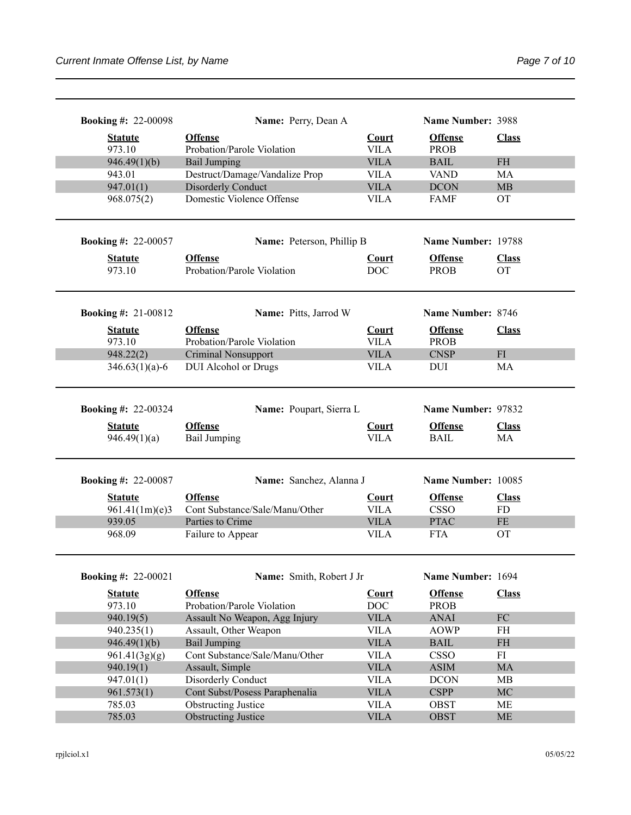| <b>Booking #: 22-00098</b> | Name: Perry, Dean A                                          |                            | Name Number: 3988             |              |
|----------------------------|--------------------------------------------------------------|----------------------------|-------------------------------|--------------|
| <b>Statute</b>             | <b>Offense</b>                                               | Court                      | <b>Offense</b>                | <b>Class</b> |
| 973.10                     | Probation/Parole Violation                                   | <b>VILA</b>                | <b>PROB</b>                   |              |
| 946.49(1)(b)               | <b>Bail Jumping</b>                                          | <b>VILA</b>                | <b>BAIL</b>                   | <b>FH</b>    |
| 943.01                     | Destruct/Damage/Vandalize Prop                               | <b>VILA</b>                | <b>VAND</b>                   | MA           |
| 947.01(1)                  | Disorderly Conduct                                           | <b>VILA</b>                | <b>DCON</b>                   | <b>MB</b>    |
| 968.075(2)                 | Domestic Violence Offense                                    | <b>VILA</b>                | <b>FAMF</b>                   | <b>OT</b>    |
| <b>Booking #: 22-00057</b> | Name: Peterson, Phillip B                                    |                            | Name Number: 19788            |              |
| <b>Statute</b>             | <b>Offense</b>                                               | <b>Court</b>               | <b>Offense</b>                | <b>Class</b> |
| 973.10                     | Probation/Parole Violation                                   | <b>DOC</b>                 | <b>PROB</b>                   | <b>OT</b>    |
| <b>Booking #: 21-00812</b> | Name: Pitts, Jarrod W                                        |                            | Name Number: 8746             |              |
| <b>Statute</b>             | <b>Offense</b>                                               | Court                      | <b>Offense</b>                | <b>Class</b> |
| 973.10                     | Probation/Parole Violation                                   | <b>VILA</b>                | <b>PROB</b>                   |              |
| 948.22(2)                  | <b>Criminal Nonsupport</b>                                   | <b>VILA</b>                | <b>CNSP</b>                   | FI           |
| $346.63(1)(a)-6$           | <b>DUI</b> Alcohol or Drugs                                  | <b>VILA</b>                | <b>DUI</b>                    | MA           |
|                            |                                                              |                            |                               |              |
| <b>Booking #: 22-00324</b> | Name: Poupart, Sierra L                                      |                            | Name Number: 97832            |              |
| <b>Statute</b>             | <b>Offense</b>                                               | <b>Court</b>               | <b>Offense</b>                | <b>Class</b> |
| 946.49(1)(a)               | <b>Bail Jumping</b>                                          | <b>VILA</b>                | <b>BAIL</b>                   | MA           |
| <b>Booking #: 22-00087</b> | Name: Sanchez, Alanna J                                      |                            | Name Number: 10085            |              |
| <b>Statute</b>             | <b>Offense</b>                                               | <b>Court</b>               | <b>Offense</b>                | <b>Class</b> |
| 961.41(1m)(e)3             | Cont Substance/Sale/Manu/Other                               | <b>VILA</b>                | <b>CSSO</b>                   | <b>FD</b>    |
| 939.05                     | Parties to Crime                                             | <b>VILA</b>                | <b>PTAC</b>                   | <b>FE</b>    |
| 968.09                     | Failure to Appear                                            | VILA                       | <b>FTA</b>                    | <b>OT</b>    |
| <b>Booking #: 22-00021</b> | Name: Smith, Robert J Jr                                     |                            | Name Number: 1694             |              |
| <b>Statute</b>             | <b>Offense</b><br>Probation/Parole Violation                 | <b>Court</b>               | <b>Offense</b><br><b>PROB</b> | <b>Class</b> |
| 973.10<br>940.19(5)        |                                                              | <b>DOC</b>                 |                               | ${\rm FC}$   |
|                            | Assault No Weapon, Agg Injury<br>Assault, Other Weapon       | <b>VILA</b><br><b>VILA</b> | <b>ANAI</b><br><b>AOWP</b>    | FH           |
| 940.235(1)                 | <b>Bail Jumping</b>                                          | <b>VILA</b>                | <b>BAIL</b>                   | $\rm FH$     |
|                            |                                                              |                            |                               |              |
| 946.49(1)(b)               |                                                              |                            |                               |              |
| 961.41(3g)(g)              | Cont Substance/Sale/Manu/Other                               | <b>VILA</b>                | <b>CSSO</b>                   | FI           |
| 940.19(1)                  | Assault, Simple                                              | <b>VILA</b>                | <b>ASIM</b>                   | MA           |
| 947.01(1)                  | Disorderly Conduct                                           | <b>VILA</b>                | <b>DCON</b>                   | MB           |
| 961.573(1)<br>785.03       | Cont Subst/Posess Paraphenalia<br><b>Obstructing Justice</b> | <b>VILA</b><br><b>VILA</b> | <b>CSPP</b><br>OBST           | MC<br>МE     |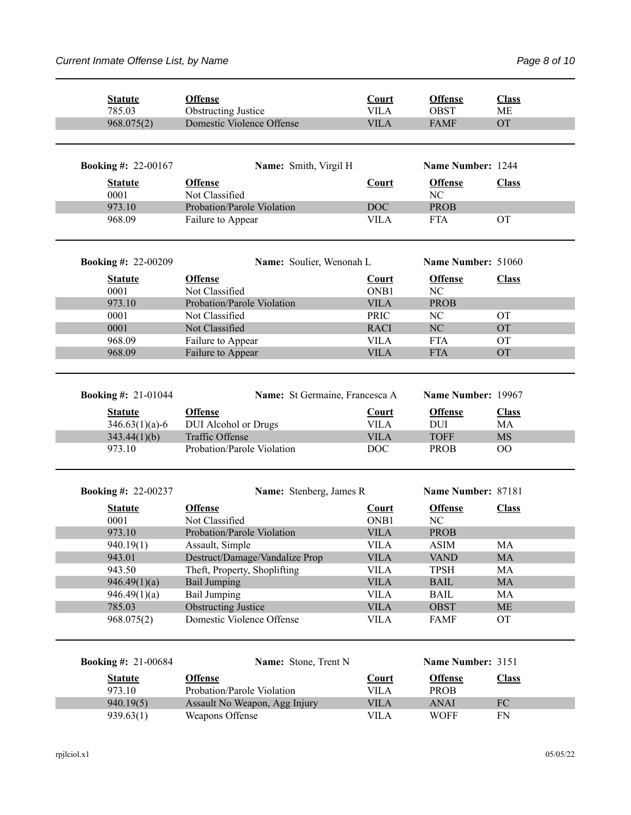| <b>Statute</b>             | <b>Offense</b>                 | Court        | <b>Offense</b>     | <b>Class</b> |
|----------------------------|--------------------------------|--------------|--------------------|--------------|
| 785.03                     | <b>Obstructing Justice</b>     | <b>VILA</b>  | <b>OBST</b>        | <b>ME</b>    |
| 968.075(2)                 | Domestic Violence Offense      | <b>VILA</b>  | <b>FAMF</b>        | <b>OT</b>    |
| <b>Booking #: 22-00167</b> | Name: Smith, Virgil H          |              | Name Number: 1244  |              |
| <b>Statute</b>             | <b>Offense</b>                 | <b>Court</b> | <b>Offense</b>     | <b>Class</b> |
| 0001                       | Not Classified                 |              | NC                 |              |
| 973.10                     | Probation/Parole Violation     | <b>DOC</b>   | <b>PROB</b>        |              |
| 968.09                     | Failure to Appear              | <b>VILA</b>  | <b>FTA</b>         | <b>OT</b>    |
| <b>Booking #: 22-00209</b> | Name: Soulier, Wenonah L       |              | Name Number: 51060 |              |
| <b>Statute</b>             | <b>Offense</b>                 | <b>Court</b> | <b>Offense</b>     | <b>Class</b> |
| 0001                       | Not Classified                 | ONB1         | NC                 |              |
| 973.10                     | Probation/Parole Violation     | <b>VILA</b>  | <b>PROB</b>        |              |
| 0001                       | Not Classified                 | <b>PRIC</b>  | NC                 | <b>OT</b>    |
| 0001                       | Not Classified                 | <b>RACI</b>  | NC                 | <b>OT</b>    |
| 968.09                     | Failure to Appear              | <b>VILA</b>  | <b>FTA</b>         | <b>OT</b>    |
| 968.09                     | Failure to Appear              | <b>VILA</b>  | <b>FTA</b>         | <b>OT</b>    |
|                            |                                |              |                    |              |
| <b>Booking #: 21-01044</b> | Name: St Germaine, Francesca A |              | Name Number: 19967 |              |
| <b>Statute</b>             | <b>Offense</b>                 | Court        | <b>Offense</b>     | <b>Class</b> |
| $346.63(1)(a)-6$           | <b>DUI</b> Alcohol or Drugs    | <b>VILA</b>  | DUI                | MA           |
| 343.44(1)(b)               | <b>Traffic Offense</b>         | <b>VILA</b>  | <b>TOFF</b>        | <b>MS</b>    |
| 973.10                     | Probation/Parole Violation     | <b>DOC</b>   | <b>PROB</b>        | 00           |
| <b>Booking #: 22-00237</b> | Name: Stenberg, James R        |              | Name Number: 87181 |              |
|                            |                                |              |                    |              |
| <b>Statute</b>             | <b>Offense</b>                 | <b>Court</b> | <b>Offense</b>     | <b>Class</b> |
| 0001                       | Not Classified                 | ONB1         | NC                 |              |
| 973.10                     | Probation/Parole Violation     | <b>VILA</b>  | <b>PROB</b>        |              |
| 940.19(1)                  | Assault, Simple                | <b>VILA</b>  | <b>ASIM</b>        | MA           |
| 943.01                     | Destruct/Damage/Vandalize Prop | <b>VILA</b>  | <b>VAND</b>        | MA           |
| 943.50                     | Theft, Property, Shoplifting   | <b>VILA</b>  | <b>TPSH</b>        | MA           |
| 946.49(1)(a)               | <b>Bail Jumping</b>            | <b>VILA</b>  | <b>BAIL</b>        | $\rm MA$     |
| 946.49(1)(a)               | <b>Bail Jumping</b>            | <b>VILA</b>  | <b>BAIL</b>        | MA           |
| 785.03                     | <b>Obstructing Justice</b>     | <b>VILA</b>  | <b>OBST</b>        | <b>ME</b>    |
| 968.075(2)                 | Domestic Violence Offense      | <b>VILA</b>  | <b>FAMF</b>        | <b>OT</b>    |
| <b>Booking #: 21-00684</b> | Name: Stone, Trent N           |              | Name Number: 3151  |              |
| <b>Statute</b>             | <b>Offense</b>                 | Court        | <b>Offense</b>     | <b>Class</b> |
| 973.10                     | Probation/Parole Violation     | <b>VILA</b>  | <b>PROB</b>        |              |
| 940.19(5)                  | Assault No Weapon, Agg Injury  | <b>VILA</b>  | <b>ANAI</b>        | ${\rm FC}$   |
| 939.63(1)                  | Weapons Offense                | <b>VILA</b>  | <b>WOFF</b>        | FN           |
|                            |                                |              |                    |              |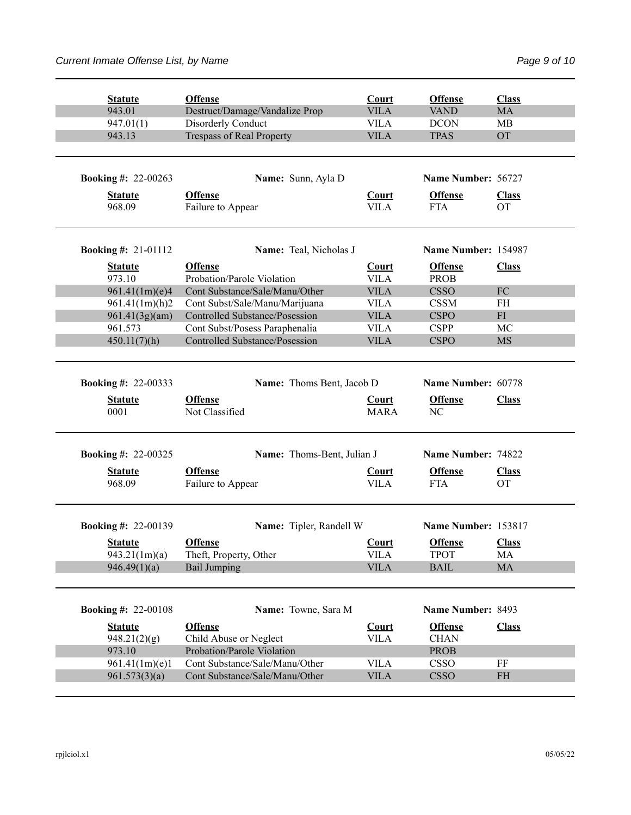| <b>Statute</b>                  | <b>Offense</b>                           | Court                       | <b>Offense</b>                   | <b>Class</b>              |
|---------------------------------|------------------------------------------|-----------------------------|----------------------------------|---------------------------|
| 943.01                          | Destruct/Damage/Vandalize Prop           | <b>VILA</b>                 | <b>VAND</b>                      | <b>MA</b>                 |
| 947.01(1)                       | Disorderly Conduct                       | <b>VILA</b>                 | <b>DCON</b>                      | MВ                        |
| 943.13                          | <b>Trespass of Real Property</b>         | <b>VILA</b>                 | <b>TPAS</b>                      | <b>OT</b>                 |
|                                 |                                          |                             |                                  |                           |
| <b>Booking #: 22-00263</b>      | Name: Sunn, Ayla D                       |                             | Name Number: 56727               |                           |
| <b>Statute</b>                  | <b>Offense</b>                           | <b>Court</b>                | <b>Offense</b>                   | <b>Class</b>              |
| 968.09                          | Failure to Appear                        | <b>VILA</b>                 | <b>FTA</b>                       | <b>OT</b>                 |
| <b>Booking #:</b> $21-01112$    | Name: Teal, Nicholas J                   |                             | Name Number: 154987              |                           |
| <b>Statute</b>                  | <b>Offense</b>                           | <b>Court</b>                | <b>Offense</b>                   | <b>Class</b>              |
| 973.10                          | Probation/Parole Violation               | <b>VILA</b>                 | <b>PROB</b>                      |                           |
| 961.41(1m)(e)4                  | Cont Substance/Sale/Manu/Other           | <b>VILA</b>                 | <b>CSSO</b>                      | FC                        |
| 961.41(1m)(h)2                  | Cont Subst/Sale/Manu/Marijuana           | <b>VILA</b>                 | <b>CSSM</b>                      | <b>FH</b>                 |
| 961.41(3g)(am)                  | <b>Controlled Substance/Posession</b>    | <b>VILA</b>                 | <b>CSPO</b>                      | FI                        |
| 961.573                         | Cont Subst/Posess Paraphenalia           | <b>VILA</b>                 | <b>CSPP</b>                      | MC                        |
| 450.11(7)(h)                    | Controlled Substance/Posession           | <b>VILA</b>                 | <b>CSPO</b>                      | <b>MS</b>                 |
| <b>Booking #: 22-00333</b>      | Name: Thoms Bent, Jacob D                |                             | Name Number: 60778               |                           |
| <b>Statute</b><br>0001          | <b>Offense</b><br>Not Classified         | <b>Court</b><br><b>MARA</b> | <b>Offense</b><br>N <sub>C</sub> | <b>Class</b>              |
|                                 |                                          |                             |                                  |                           |
| <b>Booking #: 22-00325</b>      | Name: Thoms-Bent, Julian J               |                             | Name Number: 74822               |                           |
| <b>Statute</b><br>968.09        | <b>Offense</b><br>Failure to Appear      | <b>Court</b><br><b>VILA</b> | <b>Offense</b><br><b>FTA</b>     | <b>Class</b><br><b>OT</b> |
| <b>Booking #: 22-00139</b>      | Name: Tipler, Randell W                  |                             | Name Number: 153817              |                           |
| <b>Statute</b><br>943.21(1m)(a) | <b>Offense</b><br>Theft, Property, Other | Court<br><b>VILA</b>        | <b>Offense</b><br><b>TPOT</b>    | <b>Class</b><br>MA        |
| 946.49(1)(a)                    | <b>Bail Jumping</b>                      | <b>VILA</b>                 | <b>BAIL</b>                      | MA                        |
| <b>Booking #: 22-00108</b>      | Name: Towne, Sara M                      |                             | Name Number: 8493                |                           |
| <b>Statute</b>                  | <b>Offense</b>                           | <b>Court</b>                | <b>Offense</b>                   | <b>Class</b>              |
| 948.21(2)(g)                    | Child Abuse or Neglect                   | <b>VILA</b>                 | <b>CHAN</b>                      |                           |
| 973.10                          | Probation/Parole Violation               |                             | PROB                             |                           |
| 961.41(1m)(e)1                  | Cont Substance/Sale/Manu/Other           | <b>VILA</b>                 | <b>CSSO</b>                      | FF                        |
| 961.573(3)(a)                   | Cont Substance/Sale/Manu/Other           | <b>VILA</b>                 | <b>CSSO</b>                      | $\rm FH$                  |